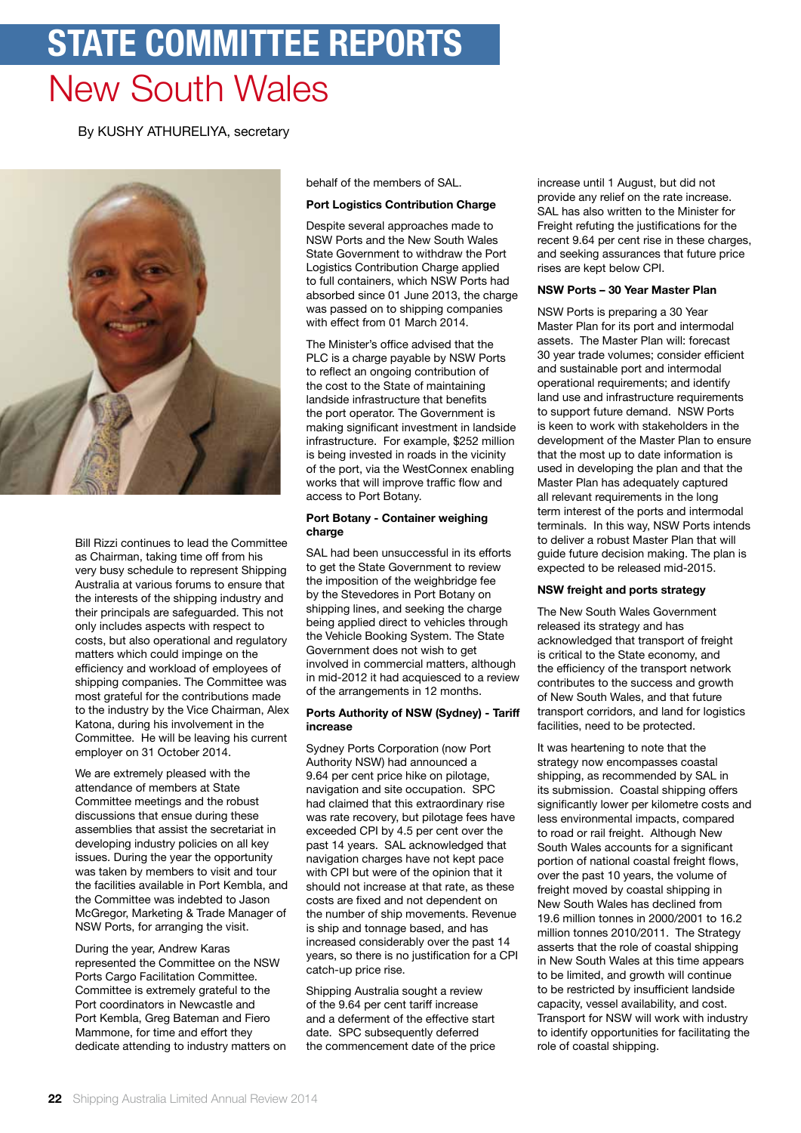# **state committee reports** New South Wales

By KUSHY ATHURELIYA, secretary



Bill Rizzi continues to lead the Committee as Chairman, taking time off from his very busy schedule to represent Shipping Australia at various forums to ensure that the interests of the shipping industry and their principals are safeguarded. This not only includes aspects with respect to costs, but also operational and regulatory matters which could impinge on the efficiency and workload of employees of shipping companies. The Committee was most grateful for the contributions made to the industry by the Vice Chairman, Alex Katona, during his involvement in the Committee. He will be leaving his current employer on 31 October 2014.

We are extremely pleased with the attendance of members at State Committee meetings and the robust discussions that ensue during these assemblies that assist the secretariat in developing industry policies on all key issues. During the year the opportunity was taken by members to visit and tour the facilities available in Port Kembla, and the Committee was indebted to Jason McGregor, Marketing & Trade Manager of NSW Ports, for arranging the visit.

During the year, Andrew Karas represented the Committee on the NSW Ports Cargo Facilitation Committee. Committee is extremely grateful to the Port coordinators in Newcastle and Port Kembla, Greg Bateman and Fiero Mammone, for time and effort they dedicate attending to industry matters on behalf of the members of SAL.

# **Port Logistics Contribution Charge**

Despite several approaches made to NSW Ports and the New South Wales State Government to withdraw the Port Logistics Contribution Charge applied to full containers, which NSW Ports had absorbed since 01 June 2013, the charge was passed on to shipping companies with effect from 01 March 2014.

The Minister's office advised that the PLC is a charge payable by NSW Ports to reflect an ongoing contribution of the cost to the State of maintaining landside infrastructure that benefits the port operator. The Government is making significant investment in landside infrastructure. For example, \$252 million is being invested in roads in the vicinity of the port, via the WestConnex enabling works that will improve traffic flow and access to Port Botany.

# **Port Botany - Container weighing charge**

SAL had been unsuccessful in its efforts to get the State Government to review the imposition of the weighbridge fee by the Stevedores in Port Botany on shipping lines, and seeking the charge being applied direct to vehicles through the Vehicle Booking System. The State Government does not wish to get involved in commercial matters, although in mid-2012 it had acquiesced to a review of the arrangements in 12 months.

# **Ports Authority of NSW (Sydney) - Tariff increase**

Sydney Ports Corporation (now Port Authority NSW) had announced a 9.64 per cent price hike on pilotage, navigation and site occupation. SPC had claimed that this extraordinary rise was rate recovery, but pilotage fees have exceeded CPI by 4.5 per cent over the past 14 years. SAL acknowledged that navigation charges have not kept pace with CPI but were of the opinion that it should not increase at that rate, as these costs are fixed and not dependent on the number of ship movements. Revenue is ship and tonnage based, and has increased considerably over the past 14 years, so there is no justification for a CPI catch-up price rise.

Shipping Australia sought a review of the 9.64 per cent tariff increase and a deferment of the effective start date. SPC subsequently deferred the commencement date of the price

increase until 1 August, but did not provide any relief on the rate increase. SAL has also written to the Minister for Freight refuting the justifications for the recent 9.64 per cent rise in these charges, and seeking assurances that future price rises are kept below CPI.

# **NSW Ports – 30 Year Master Plan**

NSW Ports is preparing a 30 Year Master Plan for its port and intermodal assets. The Master Plan will: forecast 30 year trade volumes; consider efficient and sustainable port and intermodal operational requirements; and identify land use and infrastructure requirements to support future demand. NSW Ports is keen to work with stakeholders in the development of the Master Plan to ensure that the most up to date information is used in developing the plan and that the Master Plan has adequately captured all relevant requirements in the long term interest of the ports and intermodal terminals. In this way, NSW Ports intends to deliver a robust Master Plan that will guide future decision making. The plan is expected to be released mid-2015.

# **NSW freight and ports strategy**

The New South Wales Government released its strategy and has acknowledged that transport of freight is critical to the State economy, and the efficiency of the transport network contributes to the success and growth of New South Wales, and that future transport corridors, and land for logistics facilities, need to be protected.

It was heartening to note that the strategy now encompasses coastal shipping, as recommended by SAL in its submission. Coastal shipping offers significantly lower per kilometre costs and less environmental impacts, compared to road or rail freight. Although New South Wales accounts for a significant portion of national coastal freight flows, over the past 10 years, the volume of freight moved by coastal shipping in New South Wales has declined from 19.6 million tonnes in 2000/2001 to 16.2 million tonnes 2010/2011. The Strategy asserts that the role of coastal shipping in New South Wales at this time appears to be limited, and growth will continue to be restricted by insufficient landside capacity, vessel availability, and cost. Transport for NSW will work with industry to identify opportunities for facilitating the role of coastal shipping.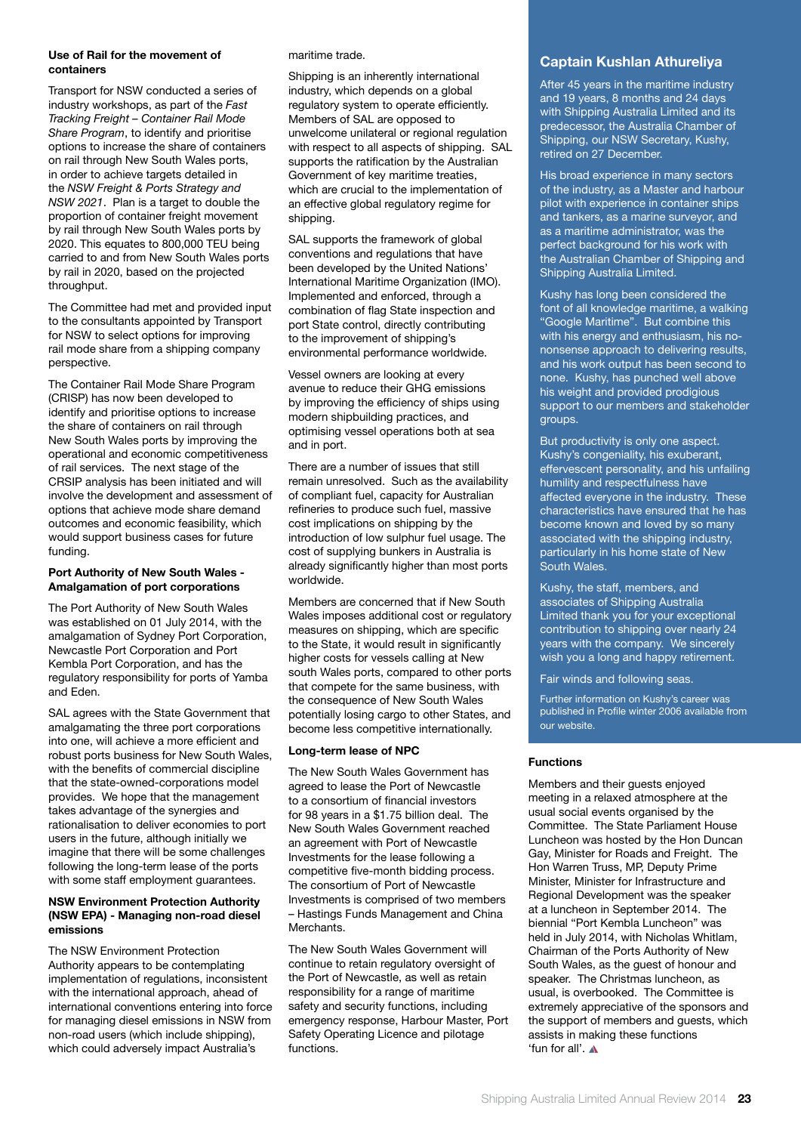#### **Use of Rail for the movement of containers**

Transport for NSW conducted a series of industry workshops, as part of the *Fast Tracking Freight – Container Rail Mode Share Program*, to identify and prioritise options to increase the share of containers on rail through New South Wales ports, in order to achieve targets detailed in the *NSW Freight & Ports Strategy and NSW 2021*. Plan is a target to double the proportion of container freight movement by rail through New South Wales ports by 2020. This equates to 800,000 TEU being carried to and from New South Wales ports by rail in 2020, based on the projected throughput.

The Committee had met and provided input to the consultants appointed by Transport for NSW to select options for improving rail mode share from a shipping company perspective.

The Container Rail Mode Share Program (CRISP) has now been developed to identify and prioritise options to increase the share of containers on rail through New South Wales ports by improving the operational and economic competitiveness of rail services. The next stage of the CRSIP analysis has been initiated and will involve the development and assessment of options that achieve mode share demand outcomes and economic feasibility, which would support business cases for future funding.

# **Port Authority of New South Wales - Amalgamation of port corporations**

The Port Authority of New South Wales was established on 01 July 2014, with the amalgamation of Sydney Port Corporation, Newcastle Port Corporation and Port Kembla Port Corporation, and has the regulatory responsibility for ports of Yamba and Eden.

SAL agrees with the State Government that amalgamating the three port corporations into one, will achieve a more efficient and robust ports business for New South Wales, with the benefits of commercial discipline that the state-owned-corporations model provides. We hope that the management takes advantage of the synergies and rationalisation to deliver economies to port users in the future, although initially we imagine that there will be some challenges following the long-term lease of the ports with some staff employment guarantees.

#### **NSW Environment Protection Authority (NSW EPA) - Managing non-road diesel emissions**

The NSW Environment Protection Authority appears to be contemplating implementation of regulations, inconsistent with the international approach, ahead of international conventions entering into force for managing diesel emissions in NSW from non-road users (which include shipping), which could adversely impact Australia's

maritime trade.

Shipping is an inherently international industry, which depends on a global regulatory system to operate efficiently. Members of SAL are opposed to unwelcome unilateral or regional regulation with respect to all aspects of shipping. SAL supports the ratification by the Australian Government of key maritime treaties, which are crucial to the implementation of an effective global regulatory regime for shipping.

SAL supports the framework of global conventions and regulations that have been developed by the United Nations' International Maritime Organization (IMO). Implemented and enforced, through a combination of flag State inspection and port State control, directly contributing to the improvement of shipping's environmental performance worldwide.

Vessel owners are looking at every avenue to reduce their GHG emissions by improving the efficiency of ships using modern shipbuilding practices, and optimising vessel operations both at sea and in port.

There are a number of issues that still remain unresolved. Such as the availability of compliant fuel, capacity for Australian refineries to produce such fuel, massive cost implications on shipping by the introduction of low sulphur fuel usage. The cost of supplying bunkers in Australia is already significantly higher than most ports worldwide.

Members are concerned that if New South Wales imposes additional cost or regulatory measures on shipping, which are specific to the State, it would result in significantly higher costs for vessels calling at New south Wales ports, compared to other ports that compete for the same business, with the consequence of New South Wales potentially losing cargo to other States, and become less competitive internationally.

# **Long-term lease of NPC**

The New South Wales Government has agreed to lease the Port of Newcastle to a consortium of financial investors for 98 years in a \$1.75 billion deal. The New South Wales Government reached an agreement with Port of Newcastle Investments for the lease following a competitive five-month bidding process. The consortium of Port of Newcastle Investments is comprised of two members – Hastings Funds Management and China Merchants.

The New South Wales Government will continue to retain regulatory oversight of the Port of Newcastle, as well as retain responsibility for a range of maritime safety and security functions, including emergency response, Harbour Master, Port Safety Operating Licence and pilotage functions.

# **Captain Kushlan Athureliya**

After 45 years in the maritime industry and 19 years, 8 months and 24 days with Shipping Australia Limited and its predecessor, the Australia Chamber of Shipping, our NSW Secretary, Kushy, retired on 27 December.

His broad experience in many sectors of the industry, as a Master and harbour pilot with experience in container ships and tankers, as a marine surveyor, and as a maritime administrator, was the perfect background for his work with the Australian Chamber of Shipping and Shipping Australia Limited.

Kushy has long been considered the font of all knowledge maritime, a walking "Google Maritime". But combine this with his energy and enthusiasm, his nononsense approach to delivering results, and his work output has been second to none. Kushy, has punched well above his weight and provided prodigious support to our members and stakeholder groups.

But productivity is only one aspect. Kushy's congeniality, his exuberant, effervescent personality, and his unfailing humility and respectfulness have affected everyone in the industry. These characteristics have ensured that he has become known and loved by so many associated with the shipping industry, particularly in his home state of New South Wales.

Kushy, the staff, members, and associates of Shipping Australia Limited thank you for your exceptional contribution to shipping over nearly 24 years with the company. We sincerely wish you a long and happy retirement.

Fair winds and following seas.

Further information on Kushy's career was published in Profile winter 2006 available from our website.

# **Functions**

Members and their guests enjoyed meeting in a relaxed atmosphere at the usual social events organised by the Committee. The State Parliament House Luncheon was hosted by the Hon Duncan Gay, Minister for Roads and Freight. The Hon Warren Truss, MP, Deputy Prime Minister, Minister for Infrastructure and Regional Development was the speaker at a luncheon in September 2014. The biennial "Port Kembla Luncheon" was held in July 2014, with Nicholas Whitlam, Chairman of the Ports Authority of New South Wales, as the guest of honour and speaker. The Christmas luncheon, as usual, is overbooked. The Committee is extremely appreciative of the sponsors and the support of members and guests, which assists in making these functions 'fun for all'.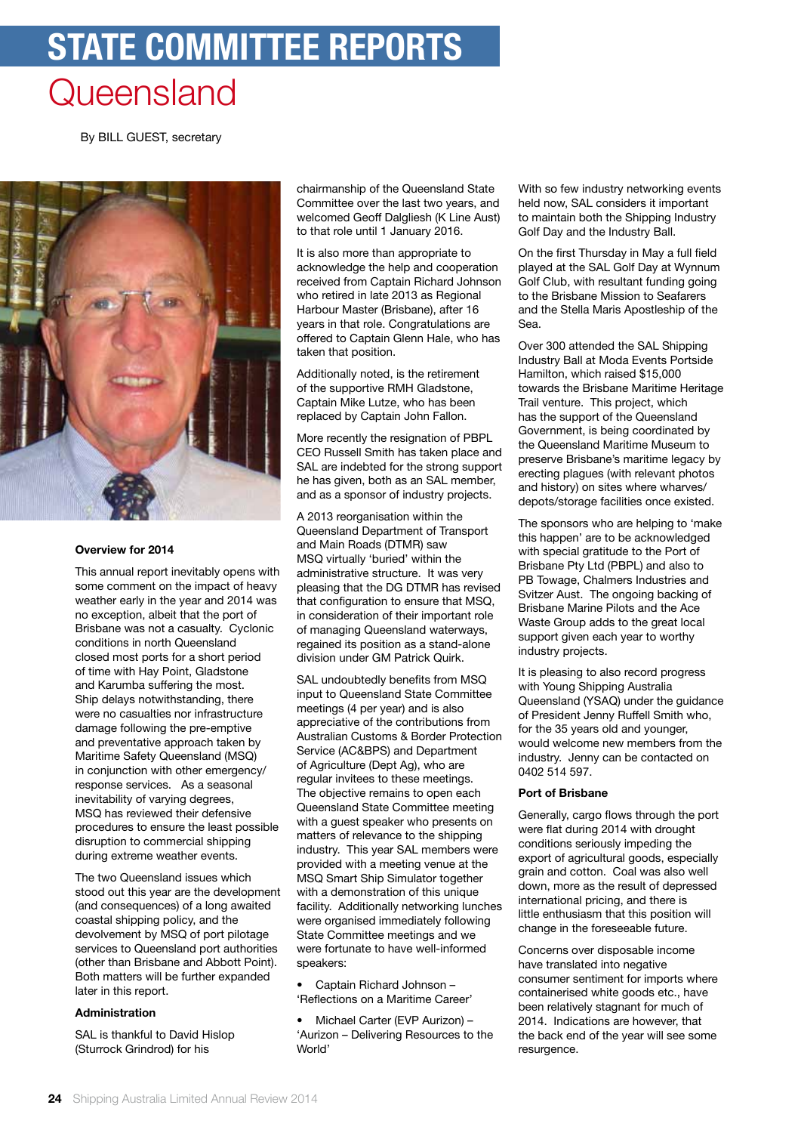# **state committee reports Queensland**

By BILL GUEST, secretary



#### **Overview for 2014**

This annual report inevitably opens with some comment on the impact of heavy weather early in the year and 2014 was no exception, albeit that the port of Brisbane was not a casualty. Cyclonic conditions in north Queensland closed most ports for a short period of time with Hay Point, Gladstone and Karumba suffering the most. Ship delays notwithstanding, there were no casualties nor infrastructure damage following the pre-emptive and preventative approach taken by Maritime Safety Queensland (MSQ) in conjunction with other emergency/ response services. As a seasonal inevitability of varying degrees, MSQ has reviewed their defensive procedures to ensure the least possible disruption to commercial shipping during extreme weather events.

The two Queensland issues which stood out this year are the development (and consequences) of a long awaited coastal shipping policy, and the devolvement by MSQ of port pilotage services to Queensland port authorities (other than Brisbane and Abbott Point). Both matters will be further expanded later in this report.

# **Administration**

SAL is thankful to David Hislop (Sturrock Grindrod) for his

chairmanship of the Queensland State Committee over the last two years, and welcomed Geoff Dalgliesh (K Line Aust) to that role until 1 January 2016.

It is also more than appropriate to acknowledge the help and cooperation received from Captain Richard Johnson who retired in late 2013 as Regional Harbour Master (Brisbane), after 16 years in that role. Congratulations are offered to Captain Glenn Hale, who has taken that position.

Additionally noted, is the retirement of the supportive RMH Gladstone, Captain Mike Lutze, who has been replaced by Captain John Fallon.

More recently the resignation of PBPL CEO Russell Smith has taken place and SAL are indebted for the strong support he has given, both as an SAL member, and as a sponsor of industry projects.

A 2013 reorganisation within the Queensland Department of Transport and Main Roads (DTMR) saw MSQ virtually 'buried' within the administrative structure. It was very pleasing that the DG DTMR has revised that configuration to ensure that MSQ, in consideration of their important role of managing Queensland waterways, regained its position as a stand-alone division under GM Patrick Quirk.

SAL undoubtedly benefits from MSQ input to Queensland State Committee meetings (4 per year) and is also appreciative of the contributions from Australian Customs & Border Protection Service (AC&BPS) and Department of Agriculture (Dept Ag), who are regular invitees to these meetings. The objective remains to open each Queensland State Committee meeting with a guest speaker who presents on matters of relevance to the shipping industry. This year SAL members were provided with a meeting venue at the MSQ Smart Ship Simulator together with a demonstration of this unique facility. Additionally networking lunches were organised immediately following State Committee meetings and we were fortunate to have well-informed speakers:

• Captain Richard Johnson – 'Reflections on a Maritime Career'

• Michael Carter (EVP Aurizon) – 'Aurizon – Delivering Resources to the World'

With so few industry networking events held now, SAL considers it important to maintain both the Shipping Industry Golf Day and the Industry Ball.

On the first Thursday in May a full field played at the SAL Golf Day at Wynnum Golf Club, with resultant funding going to the Brisbane Mission to Seafarers and the Stella Maris Apostleship of the Sea.

Over 300 attended the SAL Shipping Industry Ball at Moda Events Portside Hamilton, which raised \$15,000 towards the Brisbane Maritime Heritage Trail venture. This project, which has the support of the Queensland Government, is being coordinated by the Queensland Maritime Museum to preserve Brisbane's maritime legacy by erecting plagues (with relevant photos and history) on sites where wharves/ depots/storage facilities once existed.

The sponsors who are helping to 'make this happen' are to be acknowledged with special gratitude to the Port of Brisbane Pty Ltd (PBPL) and also to PB Towage, Chalmers Industries and Svitzer Aust. The ongoing backing of Brisbane Marine Pilots and the Ace Waste Group adds to the great local support given each year to worthy industry projects.

It is pleasing to also record progress with Young Shipping Australia Queensland (YSAQ) under the guidance of President Jenny Ruffell Smith who, for the 35 years old and younger, would welcome new members from the industry. Jenny can be contacted on 0402 514 597.

#### **Port of Brisbane**

Generally, cargo flows through the port were flat during 2014 with drought conditions seriously impeding the export of agricultural goods, especially grain and cotton. Coal was also well down, more as the result of depressed international pricing, and there is little enthusiasm that this position will change in the foreseeable future.

Concerns over disposable income have translated into negative consumer sentiment for imports where containerised white goods etc., have been relatively stagnant for much of 2014. Indications are however, that the back end of the year will see some resurgence.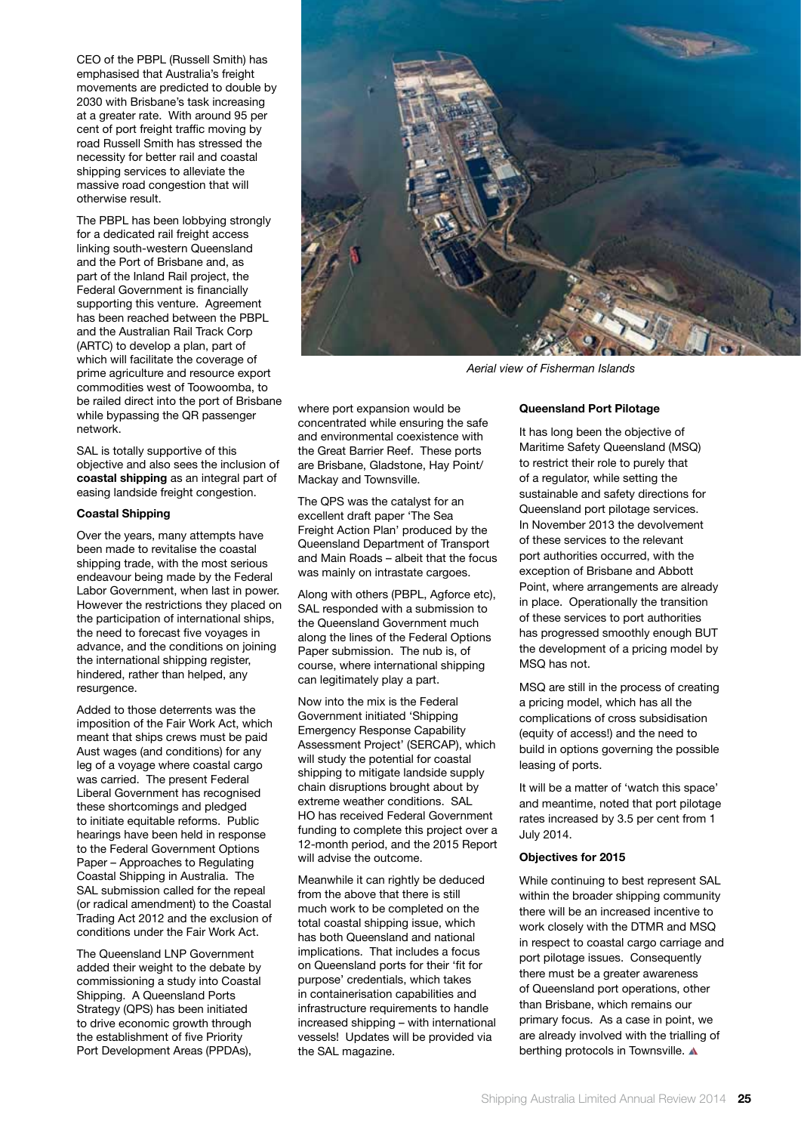CEO of the PBPL (Russell Smith) has emphasised that Australia's freight movements are predicted to double by 2030 with Brisbane's task increasing at a greater rate. With around 95 per cent of port freight traffic moving by road Russell Smith has stressed the necessity for better rail and coastal shipping services to alleviate the massive road congestion that will otherwise result.

The PBPL has been lobbying strongly for a dedicated rail freight access linking south-western Queensland and the Port of Brisbane and, as part of the Inland Rail project, the Federal Government is financially supporting this venture. Agreement has been reached between the PBPL and the Australian Rail Track Corp (ARTC) to develop a plan, part of which will facilitate the coverage of prime agriculture and resource export commodities west of Toowoomba, to be railed direct into the port of Brisbane while bypassing the QR passenger network.

SAL is totally supportive of this objective and also sees the inclusion of **coastal shipping** as an integral part of easing landside freight congestion.

#### **Coastal Shipping**

Over the years, many attempts have been made to revitalise the coastal shipping trade, with the most serious endeavour being made by the Federal Labor Government, when last in power. However the restrictions they placed on the participation of international ships, the need to forecast five voyages in advance, and the conditions on joining the international shipping register, hindered, rather than helped, any resurgence.

Added to those deterrents was the imposition of the Fair Work Act, which meant that ships crews must be paid Aust wages (and conditions) for any leg of a voyage where coastal cargo was carried. The present Federal Liberal Government has recognised these shortcomings and pledged to initiate equitable reforms. Public hearings have been held in response to the Federal Government Options Paper – Approaches to Regulating Coastal Shipping in Australia. The SAL submission called for the repeal (or radical amendment) to the Coastal Trading Act 2012 and the exclusion of conditions under the Fair Work Act.

The Queensland LNP Government added their weight to the debate by commissioning a study into Coastal Shipping. A Queensland Ports Strategy (QPS) has been initiated to drive economic growth through the establishment of five Priority Port Development Areas (PPDAs),



*Aerial view of Fisherman Islands*

where port expansion would be concentrated while ensuring the safe and environmental coexistence with the Great Barrier Reef. These ports are Brisbane, Gladstone, Hay Point/ Mackay and Townsville.

The QPS was the catalyst for an excellent draft paper 'The Sea Freight Action Plan' produced by the Queensland Department of Transport and Main Roads – albeit that the focus was mainly on intrastate cargoes.

Along with others (PBPL, Agforce etc), SAL responded with a submission to the Queensland Government much along the lines of the Federal Options Paper submission. The nub is, of course, where international shipping can legitimately play a part.

Now into the mix is the Federal Government initiated 'Shipping Emergency Response Capability Assessment Project' (SERCAP), which will study the potential for coastal shipping to mitigate landside supply chain disruptions brought about by extreme weather conditions. SAL HO has received Federal Government funding to complete this project over a 12-month period, and the 2015 Report will advise the outcome.

Meanwhile it can rightly be deduced from the above that there is still much work to be completed on the total coastal shipping issue, which has both Queensland and national implications. That includes a focus on Queensland ports for their 'fit for purpose' credentials, which takes in containerisation capabilities and infrastructure requirements to handle increased shipping – with international vessels! Updates will be provided via the SAL magazine.

# **Queensland Port Pilotage**

It has long been the objective of Maritime Safety Queensland (MSQ) to restrict their role to purely that of a regulator, while setting the sustainable and safety directions for Queensland port pilotage services. In November 2013 the devolvement of these services to the relevant port authorities occurred, with the exception of Brisbane and Abbott Point, where arrangements are already in place. Operationally the transition of these services to port authorities has progressed smoothly enough BUT the development of a pricing model by MSQ has not.

MSQ are still in the process of creating a pricing model, which has all the complications of cross subsidisation (equity of access!) and the need to build in options governing the possible leasing of ports.

It will be a matter of 'watch this space' and meantime, noted that port pilotage rates increased by 3.5 per cent from 1 July 2014.

# **Objectives for 2015**

While continuing to best represent SAL within the broader shipping community there will be an increased incentive to work closely with the DTMR and MSQ in respect to coastal cargo carriage and port pilotage issues. Consequently there must be a greater awareness of Queensland port operations, other than Brisbane, which remains our primary focus. As a case in point, we are already involved with the trialling of berthing protocols in Townsville. A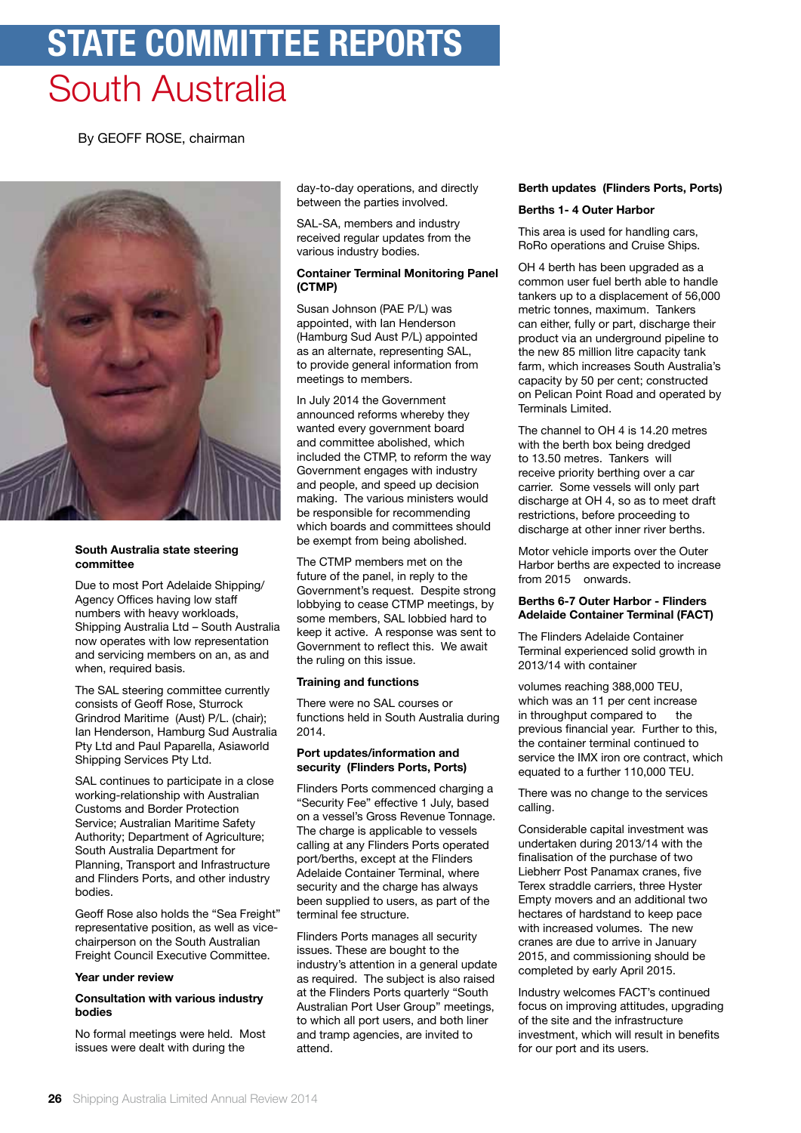# **state committee reports** South Australia

By GEOFF ROSE, chairman



# **South Australia state steering committee**

Due to most Port Adelaide Shipping/ Agency Offices having low staff numbers with heavy workloads, Shipping Australia Ltd – South Australia now operates with low representation and servicing members on an, as and when, required basis.

The SAL steering committee currently consists of Geoff Rose, Sturrock Grindrod Maritime (Aust) P/L. (chair); Ian Henderson, Hamburg Sud Australia Pty Ltd and Paul Paparella, Asiaworld Shipping Services Pty Ltd.

SAL continues to participate in a close working-relationship with Australian Customs and Border Protection Service; Australian Maritime Safety Authority; Department of Agriculture; South Australia Department for Planning, Transport and Infrastructure and Flinders Ports, and other industry bodies.

Geoff Rose also holds the "Sea Freight" representative position, as well as vicechairperson on the South Australian Freight Council Executive Committee.

# **Year under review**

### **Consultation with various industry bodies**

No formal meetings were held. Most issues were dealt with during the

day-to-day operations, and directly between the parties involved.

SAL-SA, members and industry received regular updates from the various industry bodies.

# **Container Terminal Monitoring Panel (CTMP)**

Susan Johnson (PAE P/L) was appointed, with Ian Henderson (Hamburg Sud Aust P/L) appointed as an alternate, representing SAL, to provide general information from meetings to members.

In July 2014 the Government announced reforms whereby they wanted every government board and committee abolished, which included the CTMP, to reform the way Government engages with industry and people, and speed up decision making. The various ministers would be responsible for recommending which boards and committees should be exempt from being abolished.

The CTMP members met on the future of the panel, in reply to the Government's request. Despite strong lobbying to cease CTMP meetings, by some members, SAL lobbied hard to keep it active. A response was sent to Government to reflect this. We await the ruling on this issue.

# **Training and functions**

There were no SAL courses or functions held in South Australia during 2014.

# **Port updates/information and security (Flinders Ports, Ports)**

Flinders Ports commenced charging a "Security Fee" effective 1 July, based on a vessel's Gross Revenue Tonnage. The charge is applicable to vessels calling at any Flinders Ports operated port/berths, except at the Flinders Adelaide Container Terminal, where security and the charge has always been supplied to users, as part of the terminal fee structure.

Flinders Ports manages all security issues. These are bought to the industry's attention in a general update as required. The subject is also raised at the Flinders Ports quarterly "South Australian Port User Group" meetings, to which all port users, and both liner and tramp agencies, are invited to attend.

# **Berth updates (Flinders Ports, Ports) Berths 1- 4 Outer Harbor**

This area is used for handling cars, RoRo operations and Cruise Ships.

OH 4 berth has been upgraded as a common user fuel berth able to handle tankers up to a displacement of 56,000 metric tonnes, maximum. Tankers can either, fully or part, discharge their product via an underground pipeline to the new 85 million litre capacity tank farm, which increases South Australia's capacity by 50 per cent; constructed on Pelican Point Road and operated by Terminals Limited.

The channel to OH 4 is 14.20 metres with the berth box being dredged to 13.50 metres. Tankers will receive priority berthing over a car carrier. Some vessels will only part discharge at OH 4, so as to meet draft restrictions, before proceeding to discharge at other inner river berths.

Motor vehicle imports over the Outer Harbor berths are expected to increase from 2015 onwards.

# **Berths 6-7 Outer Harbor - Flinders Adelaide Container Terminal (FACT)**

The Flinders Adelaide Container Terminal experienced solid growth in 2013/14 with container

volumes reaching 388,000 TEU, which was an 11 per cent increase in throughput compared to the previous financial year. Further to this, the container terminal continued to service the IMX iron ore contract, which equated to a further 110,000 TEU.

There was no change to the services calling.

Considerable capital investment was undertaken during 2013/14 with the finalisation of the purchase of two Liebherr Post Panamax cranes, five Terex straddle carriers, three Hyster Empty movers and an additional two hectares of hardstand to keep pace with increased volumes. The new cranes are due to arrive in January 2015, and commissioning should be completed by early April 2015.

Industry welcomes FACT's continued focus on improving attitudes, upgrading of the site and the infrastructure investment, which will result in benefits for our port and its users.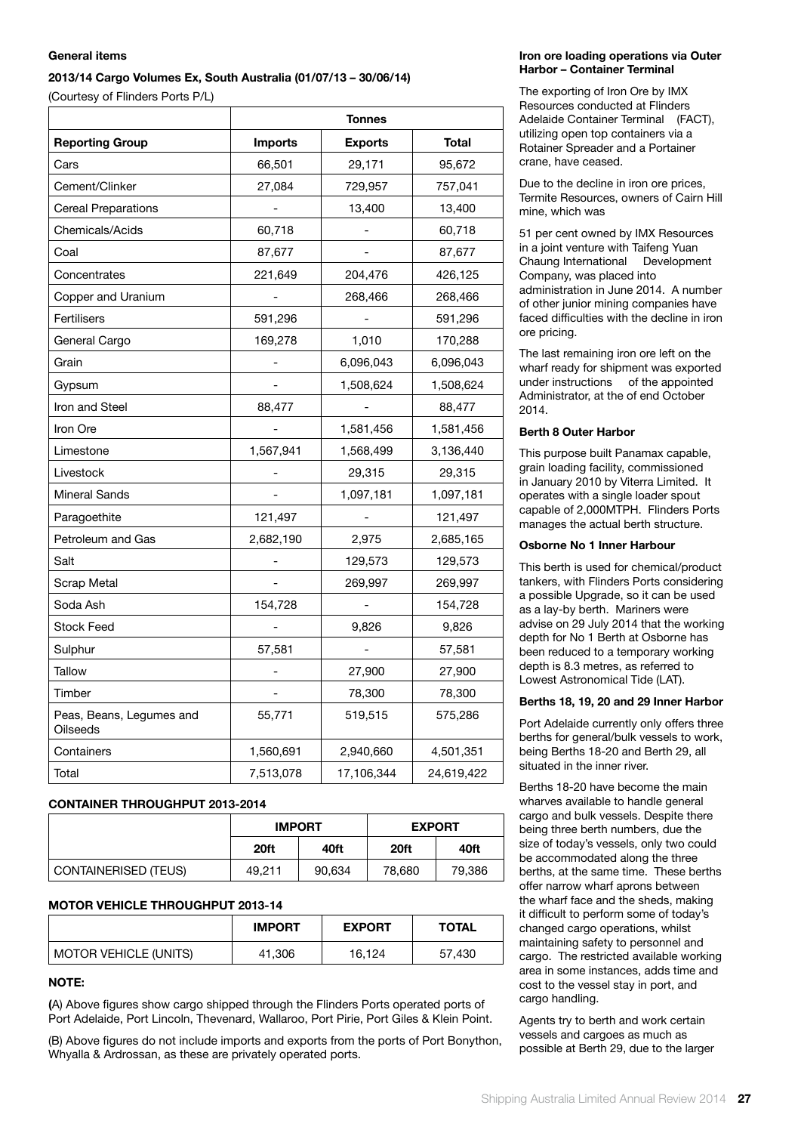# **General items**

# **2013/14 Cargo Volumes Ex, South Australia (01/07/13 – 30/06/14)**

(Courtesy of Flinders Ports P/L)

|                                             | <b>Tonnes</b>  |                |              |  |
|---------------------------------------------|----------------|----------------|--------------|--|
| <b>Reporting Group</b>                      | <b>Imports</b> | <b>Exports</b> | <b>Total</b> |  |
| Cars                                        | 66,501         | 29,171         | 95,672       |  |
| Cement/Clinker                              | 27,084         | 729,957        | 757,041      |  |
| <b>Cereal Preparations</b>                  |                | 13,400         | 13,400       |  |
| Chemicals/Acids                             | 60,718         |                | 60,718       |  |
| Coal                                        | 87,677         |                | 87,677       |  |
| Concentrates                                | 221,649        | 204,476        | 426,125      |  |
| Copper and Uranium                          |                | 268,466        | 268,466      |  |
| Fertilisers                                 | 591,296        |                | 591,296      |  |
| General Cargo                               | 169,278        | 1,010          | 170,288      |  |
| Grain                                       |                | 6,096,043      | 6,096,043    |  |
| Gypsum                                      |                | 1,508,624      | 1,508,624    |  |
| Iron and Steel                              | 88,477         |                | 88,477       |  |
| Iron Ore                                    |                | 1,581,456      | 1,581,456    |  |
| Limestone                                   | 1,567,941      | 1,568,499      | 3,136,440    |  |
| Livestock                                   |                | 29,315         | 29,315       |  |
| <b>Mineral Sands</b>                        |                | 1,097,181      | 1,097,181    |  |
| Paragoethite                                | 121,497        |                | 121,497      |  |
| Petroleum and Gas                           | 2,682,190      | 2,975          | 2,685,165    |  |
| Salt                                        |                | 129,573        | 129,573      |  |
| Scrap Metal                                 |                | 269,997        | 269,997      |  |
| Soda Ash                                    | 154,728        |                | 154,728      |  |
| <b>Stock Feed</b>                           |                | 9,826          | 9,826        |  |
| Sulphur                                     | 57,581         |                | 57,581       |  |
| Tallow                                      | $\overline{a}$ | 27,900         | 27,900       |  |
| Timber                                      |                | 78,300         | 78,300       |  |
| Peas, Beans, Legumes and<br><b>Oilseeds</b> | 55,771         | 519,515        | 575,286      |  |
| Containers                                  | 1,560,691      | 2,940,660      | 4,501,351    |  |
| Total                                       | 7,513,078      | 17,106,344     | 24,619,422   |  |

# **CONTAINER THROUGHPUT 2013-2014**

|                             | <b>IMPORT</b> |        | <b>EXPORT</b> |        |
|-----------------------------|---------------|--------|---------------|--------|
|                             | 20ft          | 40ft   | 20ft          | 40ft   |
| <b>CONTAINERISED (TEUS)</b> | 49.211        | 90,634 | 78,680        | 79,386 |

# **MOTOR VEHICLE THROUGHPUT 2013-14**

|                              | <b>IMPORT</b> | <b>EXPORT</b> | <b>TOTAL</b> |
|------------------------------|---------------|---------------|--------------|
| <b>MOTOR VEHICLE (UNITS)</b> | 41,306        | 16.124        | 57,430       |

# **NOTE:**

**(**A) Above figures show cargo shipped through the Flinders Ports operated ports of Port Adelaide, Port Lincoln, Thevenard, Wallaroo, Port Pirie, Port Giles & Klein Point.

(B) Above figures do not include imports and exports from the ports of Port Bonython, Whyalla & Ardrossan, as these are privately operated ports.

# **Iron ore loading operations via Outer Harbor – Container Terminal**

The exporting of Iron Ore by IMX Resources conducted at Flinders Adelaide Container Terminal (FACT), utilizing open top containers via a Rotainer Spreader and a Portainer crane, have ceased.

Due to the decline in iron ore prices, Termite Resources, owners of Cairn Hill mine, which was

51 per cent owned by IMX Resources in a joint venture with Taifeng Yuan Chaung International Development Company, was placed into administration in June 2014. A number of other junior mining companies have faced difficulties with the decline in iron ore pricing.

The last remaining iron ore left on the wharf ready for shipment was exported under instructions of the appointed Administrator, at the of end October 2014.

# **Berth 8 Outer Harbor**

This purpose built Panamax capable, grain loading facility, commissioned in January 2010 by Viterra Limited. It operates with a single loader spout capable of 2,000MTPH. Flinders Ports manages the actual berth structure.

# **Osborne No 1 Inner Harbour**

This berth is used for chemical/product tankers, with Flinders Ports considering a possible Upgrade, so it can be used as a lay-by berth. Mariners were advise on 29 July 2014 that the working depth for No 1 Berth at Osborne has been reduced to a temporary working depth is 8.3 metres, as referred to Lowest Astronomical Tide (LAT).

# **Berths 18, 19, 20 and 29 Inner Harbor**

Port Adelaide currently only offers three berths for general/bulk vessels to work, being Berths 18-20 and Berth 29, all situated in the inner river.

Berths 18-20 have become the main wharves available to handle general cargo and bulk vessels. Despite there being three berth numbers, due the size of today's vessels, only two could be accommodated along the three berths, at the same time. These berths offer narrow wharf aprons between the wharf face and the sheds, making it difficult to perform some of today's changed cargo operations, whilst maintaining safety to personnel and cargo. The restricted available working area in some instances, adds time and cost to the vessel stay in port, and cargo handling.

Agents try to berth and work certain vessels and cargoes as much as possible at Berth 29, due to the larger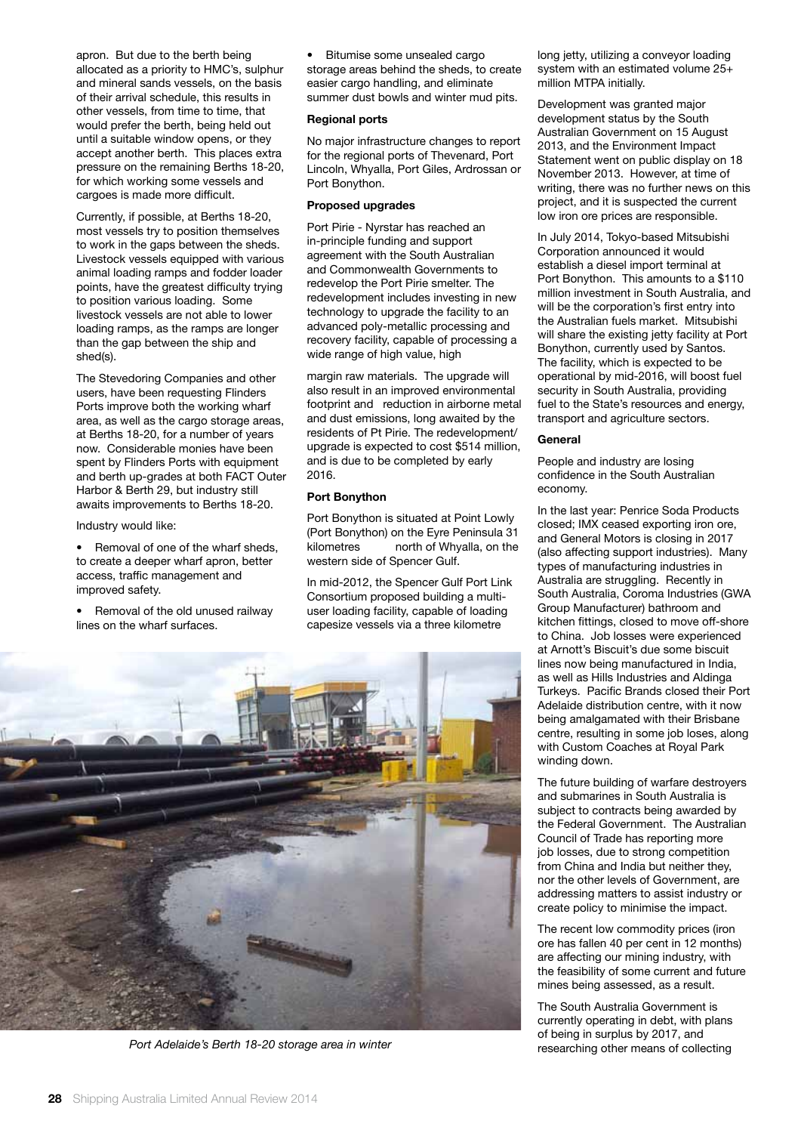apron. But due to the berth being allocated as a priority to HMC's, sulphur and mineral sands vessels, on the basis of their arrival schedule, this results in other vessels, from time to time, that would prefer the berth, being held out until a suitable window opens, or they accept another berth. This places extra pressure on the remaining Berths 18-20, for which working some vessels and cargoes is made more difficult.

Currently, if possible, at Berths 18-20, most vessels try to position themselves to work in the gaps between the sheds. Livestock vessels equipped with various animal loading ramps and fodder loader points, have the greatest difficulty trying to position various loading. Some livestock vessels are not able to lower loading ramps, as the ramps are longer than the gap between the ship and shed(s).

The Stevedoring Companies and other users, have been requesting Flinders Ports improve both the working wharf area, as well as the cargo storage areas, at Berths 18-20, for a number of years now. Considerable monies have been spent by Flinders Ports with equipment and berth up-grades at both FACT Outer Harbor & Berth 29, but industry still awaits improvements to Berths 18-20.

Industry would like:

Removal of one of the wharf sheds, to create a deeper wharf apron, better access, traffic management and improved safety.

• Removal of the old unused railway lines on the wharf surfaces.

• Bitumise some unsealed cargo storage areas behind the sheds, to create easier cargo handling, and eliminate summer dust bowls and winter mud pits.

# **Regional ports**

No major infrastructure changes to report for the regional ports of Thevenard, Port Lincoln, Whyalla, Port Giles, Ardrossan or Port Bonython.

# **Proposed upgrades**

Port Pirie - Nyrstar has reached an in-principle funding and support agreement with the South Australian and Commonwealth Governments to redevelop the Port Pirie smelter. The redevelopment includes investing in new technology to upgrade the facility to an advanced poly-metallic processing and recovery facility, capable of processing a wide range of high value, high

margin raw materials. The upgrade will also result in an improved environmental footprint and reduction in airborne metal and dust emissions, long awaited by the residents of Pt Pirie. The redevelopment/ upgrade is expected to cost \$514 million, and is due to be completed by early 2016.

#### **Port Bonython**

Port Bonython is situated at Point Lowly (Port Bonython) on the Eyre Peninsula 31 kilometres north of Whyalla, on the western side of Spencer Gulf.

In mid-2012, the Spencer Gulf Port Link Consortium proposed building a multiuser loading facility, capable of loading capesize vessels via a three kilometre



long jetty, utilizing a conveyor loading system with an estimated volume 25+ million MTPA initially.

Development was granted major development status by the South Australian Government on 15 August 2013, and the Environment Impact Statement went on public display on 18 November 2013. However, at time of writing, there was no further news on this project, and it is suspected the current low iron ore prices are responsible.

In July 2014, Tokyo-based Mitsubishi Corporation announced it would establish a diesel import terminal at Port Bonython. This amounts to a \$110 million investment in South Australia, and will be the corporation's first entry into the Australian fuels market. Mitsubishi will share the existing jetty facility at Port Bonython, currently used by Santos. The facility, which is expected to be operational by mid-2016, will boost fuel security in South Australia, providing fuel to the State's resources and energy, transport and agriculture sectors.

#### **General**

People and industry are losing confidence in the South Australian economy.

In the last year: Penrice Soda Products closed; IMX ceased exporting iron ore, and General Motors is closing in 2017 (also affecting support industries). Many types of manufacturing industries in Australia are struggling. Recently in South Australia, Coroma Industries (GWA Group Manufacturer) bathroom and kitchen fittings, closed to move off-shore to China. Job losses were experienced at Arnott's Biscuit's due some biscuit lines now being manufactured in India, as well as Hills Industries and Aldinga Turkeys. Pacific Brands closed their Port Adelaide distribution centre, with it now being amalgamated with their Brisbane centre, resulting in some job loses, along with Custom Coaches at Royal Park winding down.

The future building of warfare destroyers and submarines in South Australia is subject to contracts being awarded by the Federal Government. The Australian Council of Trade has reporting more job losses, due to strong competition from China and India but neither they, nor the other levels of Government, are addressing matters to assist industry or create policy to minimise the impact.

The recent low commodity prices (iron ore has fallen 40 per cent in 12 months) are affecting our mining industry, with the feasibility of some current and future mines being assessed, as a result.

The South Australia Government is currently operating in debt, with plans of being in surplus by 2017, and *Port Adelaide's Berth 18-20 storage area in winter* researching other means of collecting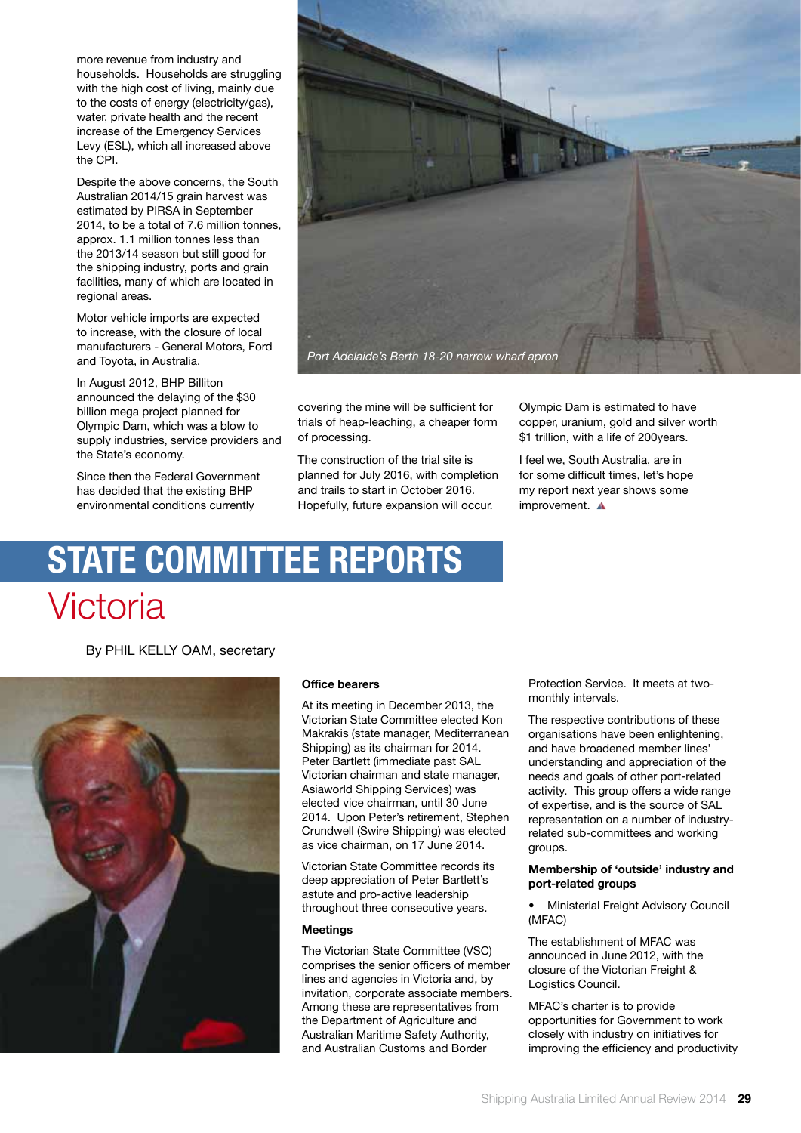more revenue from industry and households. Households are struggling with the high cost of living, mainly due to the costs of energy (electricity/gas), water, private health and the recent increase of the Emergency Services Levy (ESL), which all increased above the CPI.

Despite the above concerns, the South Australian 2014/15 grain harvest was estimated by PIRSA in September 2014, to be a total of 7.6 million tonnes, approx. 1.1 million tonnes less than the 2013/14 season but still good for the shipping industry, ports and grain facilities, many of which are located in regional areas.

Motor vehicle imports are expected to increase, with the closure of local manufacturers - General Motors, Ford and Toyota, in Australia.

In August 2012, BHP Billiton announced the delaying of the \$30 billion mega project planned for Olympic Dam, which was a blow to supply industries, service providers and the State's economy.

Since then the Federal Government has decided that the existing BHP environmental conditions currently



covering the mine will be sufficient for trials of heap-leaching, a cheaper form of processing.

The construction of the trial site is planned for July 2016, with completion and trails to start in October 2016. Hopefully, future expansion will occur.

Olympic Dam is estimated to have copper, uranium, gold and silver worth \$1 trillion, with a life of 200years.

I feel we, South Australia, are in for some difficult times, let's hope my report next year shows some improvement. A

# **state committee reports** Victoria

By PHIL KELLY OAM, secretary



# **Office bearers**

At its meeting in December 2013, the Victorian State Committee elected Kon Makrakis (state manager, Mediterranean Shipping) as its chairman for 2014. Peter Bartlett (immediate past SAL Victorian chairman and state manager, Asiaworld Shipping Services) was elected vice chairman, until 30 June 2014. Upon Peter's retirement, Stephen Crundwell (Swire Shipping) was elected as vice chairman, on 17 June 2014.

Victorian State Committee records its deep appreciation of Peter Bartlett's astute and pro-active leadership throughout three consecutive years.

# **Meetings**

The Victorian State Committee (VSC) comprises the senior officers of member lines and agencies in Victoria and, by invitation, corporate associate members. Among these are representatives from the Department of Agriculture and Australian Maritime Safety Authority, and Australian Customs and Border

Protection Service. It meets at twomonthly intervals.

The respective contributions of these organisations have been enlightening, and have broadened member lines' understanding and appreciation of the needs and goals of other port-related activity. This group offers a wide range of expertise, and is the source of SAL representation on a number of industryrelated sub-committees and working groups.

# **Membership of 'outside' industry and port-related groups**

• Ministerial Freight Advisory Council (MFAC)

The establishment of MFAC was announced in June 2012, with the closure of the Victorian Freight & Logistics Council.

MFAC's charter is to provide opportunities for Government to work closely with industry on initiatives for improving the efficiency and productivity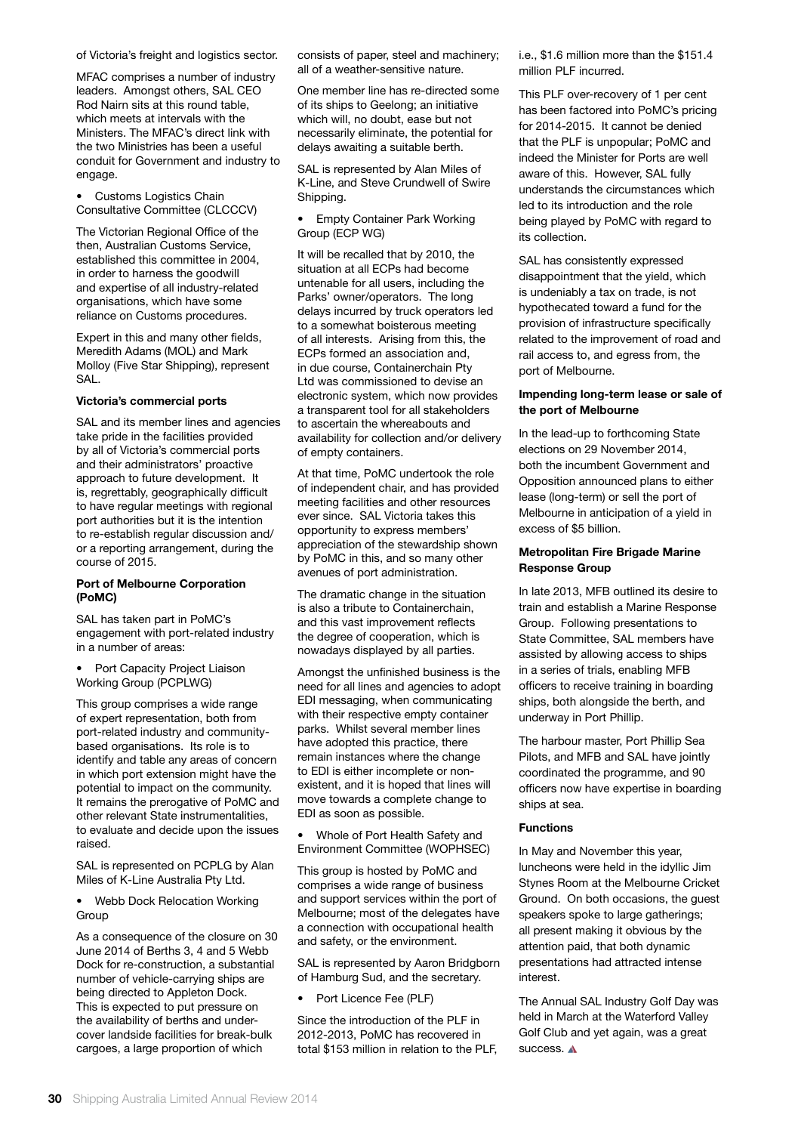#### of Victoria's freight and logistics sector.

MFAC comprises a number of industry leaders. Amongst others, SAL CEO Rod Nairn sits at this round table, which meets at intervals with the Ministers. The MFAC's direct link with the two Ministries has been a useful conduit for Government and industry to engage.

• Customs Logistics Chain Consultative Committee (CLCCCV)

The Victorian Regional Office of the then, Australian Customs Service, established this committee in 2004, in order to harness the goodwill and expertise of all industry-related organisations, which have some reliance on Customs procedures.

Expert in this and many other fields, Meredith Adams (MOL) and Mark Molloy (Five Star Shipping), represent SAL.

#### **Victoria's commercial ports**

SAL and its member lines and agencies take pride in the facilities provided by all of Victoria's commercial ports and their administrators' proactive approach to future development. It is, regrettably, geographically difficult to have regular meetings with regional port authorities but it is the intention to re-establish regular discussion and/ or a reporting arrangement, during the course of 2015.

#### **Port of Melbourne Corporation (PoMC)**

SAL has taken part in PoMC's engagement with port-related industry in a number of areas:

Port Capacity Project Liaison Working Group (PCPLWG)

This group comprises a wide range of expert representation, both from port-related industry and communitybased organisations. Its role is to identify and table any areas of concern in which port extension might have the potential to impact on the community. It remains the prerogative of PoMC and other relevant State instrumentalities, to evaluate and decide upon the issues raised.

SAL is represented on PCPLG by Alan Miles of K-Line Australia Pty Ltd.

• Webb Dock Relocation Working Group

As a consequence of the closure on 30 June 2014 of Berths 3, 4 and 5 Webb Dock for re-construction, a substantial number of vehicle-carrying ships are being directed to Appleton Dock. This is expected to put pressure on the availability of berths and undercover landside facilities for break-bulk cargoes, a large proportion of which

consists of paper, steel and machinery; all of a weather-sensitive nature.

One member line has re-directed some of its ships to Geelong; an initiative which will, no doubt, ease but not necessarily eliminate, the potential for delays awaiting a suitable berth.

SAL is represented by Alan Miles of K-Line, and Steve Crundwell of Swire Shipping.

• Empty Container Park Working Group (ECP WG)

It will be recalled that by 2010, the situation at all ECPs had become untenable for all users, including the Parks' owner/operators. The long delays incurred by truck operators led to a somewhat boisterous meeting of all interests. Arising from this, the ECPs formed an association and, in due course, Containerchain Pty Ltd was commissioned to devise an electronic system, which now provides a transparent tool for all stakeholders to ascertain the whereabouts and availability for collection and/or delivery of empty containers.

At that time, PoMC undertook the role of independent chair, and has provided meeting facilities and other resources ever since. SAL Victoria takes this opportunity to express members' appreciation of the stewardship shown by PoMC in this, and so many other avenues of port administration.

The dramatic change in the situation is also a tribute to Containerchain, and this vast improvement reflects the degree of cooperation, which is nowadays displayed by all parties.

Amongst the unfinished business is the need for all lines and agencies to adopt EDI messaging, when communicating with their respective empty container parks. Whilst several member lines have adopted this practice, there remain instances where the change to EDI is either incomplete or nonexistent, and it is hoped that lines will move towards a complete change to EDI as soon as possible.

• Whole of Port Health Safety and Environment Committee (WOPHSEC)

This group is hosted by PoMC and comprises a wide range of business and support services within the port of Melbourne; most of the delegates have a connection with occupational health and safety, or the environment.

SAL is represented by Aaron Bridgborn of Hamburg Sud, and the secretary.

• Port Licence Fee (PLF)

Since the introduction of the PLF in 2012-2013, PoMC has recovered in total \$153 million in relation to the PLF, i.e., \$1.6 million more than the \$151.4 million PLF incurred.

This PLF over-recovery of 1 per cent has been factored into PoMC's pricing for 2014-2015. It cannot be denied that the PLF is unpopular; PoMC and indeed the Minister for Ports are well aware of this. However, SAL fully understands the circumstances which led to its introduction and the role being played by PoMC with regard to its collection.

SAL has consistently expressed disappointment that the yield, which is undeniably a tax on trade, is not hypothecated toward a fund for the provision of infrastructure specifically related to the improvement of road and rail access to, and egress from, the port of Melbourne.

### **Impending long-term lease or sale of the port of Melbourne**

In the lead-up to forthcoming State elections on 29 November 2014, both the incumbent Government and Opposition announced plans to either lease (long-term) or sell the port of Melbourne in anticipation of a yield in excess of \$5 billion.

# **Metropolitan Fire Brigade Marine Response Group**

In late 2013, MFB outlined its desire to train and establish a Marine Response Group. Following presentations to State Committee, SAL members have assisted by allowing access to ships in a series of trials, enabling MFB officers to receive training in boarding ships, both alongside the berth, and underway in Port Phillip.

The harbour master, Port Phillip Sea Pilots, and MFB and SAL have jointly coordinated the programme, and 90 officers now have expertise in boarding ships at sea.

#### **Functions**

In May and November this year, luncheons were held in the idyllic Jim Stynes Room at the Melbourne Cricket Ground. On both occasions, the guest speakers spoke to large gatherings; all present making it obvious by the attention paid, that both dynamic presentations had attracted intense interest.

The Annual SAL Industry Golf Day was held in March at the Waterford Valley Golf Club and yet again, was a great success. A